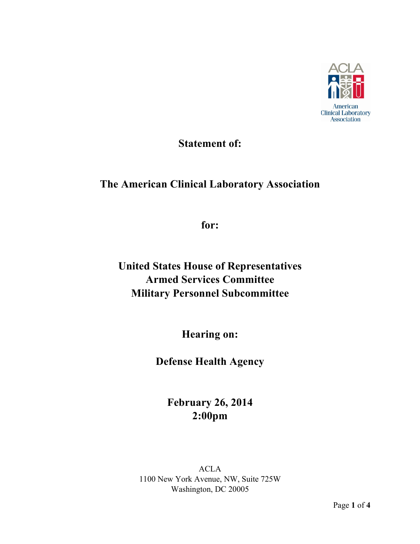

## **Statement of:**

## **The American Clinical Laboratory Association**

**for:**

**United States House of Representatives Armed Services Committee Military Personnel Subcommittee**

**Hearing on:**

**Defense Health Agency**

**February 26, 2014 2:00pm**

ACLA 1100 New York Avenue, NW, Suite 725W Washington, DC 20005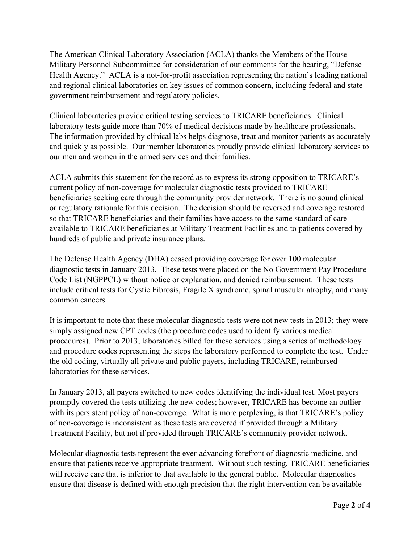The American Clinical Laboratory Association (ACLA) thanks the Members of the House Military Personnel Subcommittee for consideration of our comments for the hearing, "Defense Health Agency." ACLA is a not-for-profit association representing the nation's leading national and regional clinical laboratories on key issues of common concern, including federal and state government reimbursement and regulatory policies.

Clinical laboratories provide critical testing services to TRICARE beneficiaries. Clinical laboratory tests guide more than 70% of medical decisions made by healthcare professionals. The information provided by clinical labs helps diagnose, treat and monitor patients as accurately and quickly as possible. Our member laboratories proudly provide clinical laboratory services to our men and women in the armed services and their families.

ACLA submits this statement for the record as to express its strong opposition to TRICARE's current policy of non-coverage for molecular diagnostic tests provided to TRICARE beneficiaries seeking care through the community provider network. There is no sound clinical or regulatory rationale for this decision. The decision should be reversed and coverage restored so that TRICARE beneficiaries and their families have access to the same standard of care available to TRICARE beneficiaries at Military Treatment Facilities and to patients covered by hundreds of public and private insurance plans.

The Defense Health Agency (DHA) ceased providing coverage for over 100 molecular diagnostic tests in January 2013. These tests were placed on the No Government Pay Procedure Code List (NGPPCL) without notice or explanation, and denied reimbursement. These tests include critical tests for Cystic Fibrosis, Fragile X syndrome, spinal muscular atrophy, and many common cancers.

It is important to note that these molecular diagnostic tests were not new tests in 2013; they were simply assigned new CPT codes (the procedure codes used to identify various medical procedures). Prior to 2013, laboratories billed for these services using a series of methodology and procedure codes representing the steps the laboratory performed to complete the test. Under the old coding, virtually all private and public payers, including TRICARE, reimbursed laboratories for these services.

In January 2013, all payers switched to new codes identifying the individual test. Most payers promptly covered the tests utilizing the new codes; however, TRICARE has become an outlier with its persistent policy of non-coverage. What is more perplexing, is that TRICARE's policy of non-coverage is inconsistent as these tests are covered if provided through a Military Treatment Facility, but not if provided through TRICARE's community provider network.

Molecular diagnostic tests represent the ever-advancing forefront of diagnostic medicine, and ensure that patients receive appropriate treatment. Without such testing, TRICARE beneficiaries will receive care that is inferior to that available to the general public. Molecular diagnostics ensure that disease is defined with enough precision that the right intervention can be available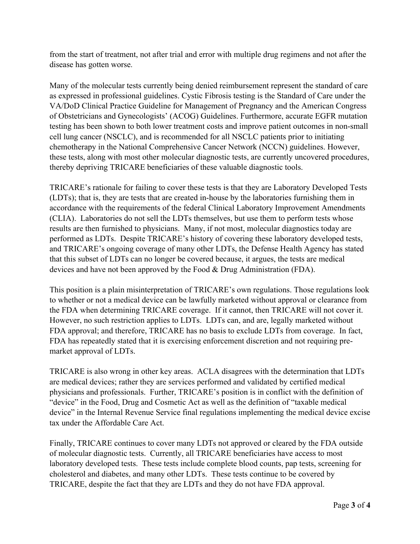from the start of treatment, not after trial and error with multiple drug regimens and not after the disease has gotten worse. 

Many of the molecular tests currently being denied reimbursement represent the standard of care as expressed in professional guidelines. Cystic Fibrosis testing is the Standard of Care under the VA/DoD Clinical Practice Guideline for Management of Pregnancy and the American Congress of Obstetricians and Gynecologists' (ACOG) Guidelines. Furthermore, accurate EGFR mutation testing has been shown to both lower treatment costs and improve patient outcomes in non-small cell lung cancer (NSCLC), and is recommended for all NSCLC patients prior to initiating chemotherapy in the National Comprehensive Cancer Network (NCCN) guidelines. However, these tests, along with most other molecular diagnostic tests, are currently uncovered procedures, thereby depriving TRICARE beneficiaries of these valuable diagnostic tools.

TRICARE's rationale for failing to cover these tests is that they are Laboratory Developed Tests (LDTs); that is, they are tests that are created in-house by the laboratories furnishing them in accordance with the requirements of the federal Clinical Laboratory Improvement Amendments (CLIA). Laboratories do not sell the LDTs themselves, but use them to perform tests whose results are then furnished to physicians. Many, if not most, molecular diagnostics today are performed as LDTs. Despite TRICARE's history of covering these laboratory developed tests, and TRICARE's ongoing coverage of many other LDTs, the Defense Health Agency has stated that this subset of LDTs can no longer be covered because, it argues, the tests are medical devices and have not been approved by the Food & Drug Administration (FDA).

This position is a plain misinterpretation of TRICARE's own regulations. Those regulations look to whether or not a medical device can be lawfully marketed without approval or clearance from the FDA when determining TRICARE coverage. If it cannot, then TRICARE will not cover it. However, no such restriction applies to LDTs. LDTs can, and are, legally marketed without FDA approval; and therefore, TRICARE has no basis to exclude LDTs from coverage. In fact, FDA has repeatedly stated that it is exercising enforcement discretion and not requiring premarket approval of LDTs.

TRICARE is also wrong in other key areas. ACLA disagrees with the determination that LDTs are medical devices; rather they are services performed and validated by certified medical physicians and professionals. Further, TRICARE's position is in conflict with the definition of "device" in the Food, Drug and Cosmetic Act as well as the definition of "taxable medical device" in the Internal Revenue Service final regulations implementing the medical device excise tax under the Affordable Care Act.

Finally, TRICARE continues to cover many LDTs not approved or cleared by the FDA outside of molecular diagnostic tests. Currently, all TRICARE beneficiaries have access to most laboratory developed tests. These tests include complete blood counts, pap tests, screening for cholesterol and diabetes, and many other LDTs. These tests continue to be covered by TRICARE, despite the fact that they are LDTs and they do not have FDA approval.